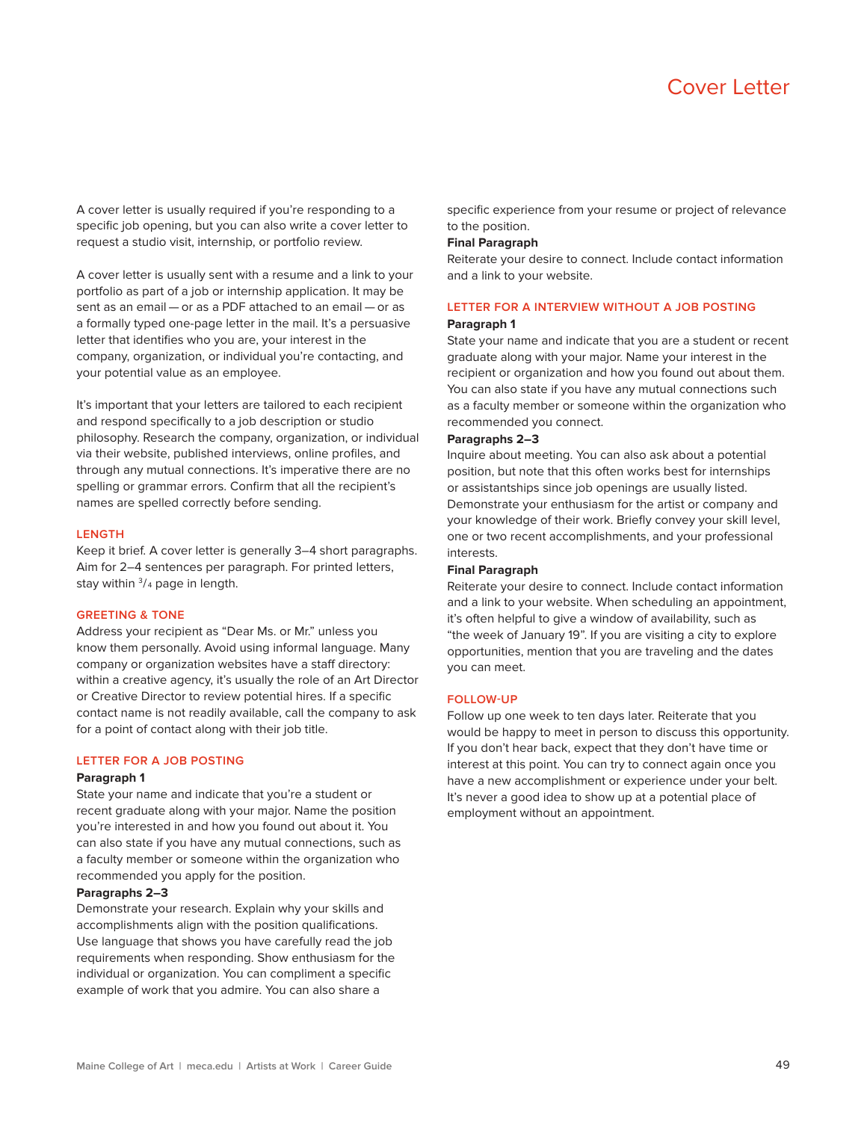

A cover letter is usually required if you're responding to a specific job opening, but you can also write a cover letter to request a studio visit, internship, or portfolio review.

A cover letter is usually sent with a resume and a link to your portfolio as part of a job or internship application. It may be sent as an email — or as a PDF attached to an email — or as a formally typed one-page letter in the mail. It's a persuasive letter that identifies who you are, your interest in the company, organization, or individual you're contacting, and your potential value as an employee.

It's important that your letters are tailored to each recipient and respond specifically to a job description or studio philosophy. Research the company, organization, or individual via their website, published interviews, online profiles, and through any mutual connections. It's imperative there are no spelling or grammar errors. Confirm that all the recipient's names are spelled correctly before sending.

#### **LENGTH**

Keep it brief. A cover letter is generally 3–4 short paragraphs. Aim for 2–4 sentences per paragraph. For printed letters, stay within  $\frac{3}{4}$  page in length.

## **GREETING & TONE**

Address your recipient as "Dear Ms. or Mr." unless you know them personally. Avoid using informal language. Many company or organization websites have a staff directory: within a creative agency, it's usually the role of an Art Director or Creative Director to review potential hires. If a specific contact name is not readily available, call the company to ask for a point of contact along with their job title.

## **LETTER FOR A JOB POSTING**

## **Paragraph 1**

State your name and indicate that you're a student or recent graduate along with your major. Name the position you're interested in and how you found out about it. You can also state if you have any mutual connections, such as a faculty member or someone within the organization who recommended you apply for the position.

### **Paragraphs 2–3**

Demonstrate your research. Explain why your skills and accomplishments align with the position qualifications. Use language that shows you have carefully read the job requirements when responding. Show enthusiasm for the individual or organization. You can compliment a specific example of work that you admire. You can also share a

specific experience from your resume or project of relevance to the position.

#### **Final Paragraph**

Reiterate your desire to connect. Include contact information and a link to your website.

# **LETTER FOR A INTERVIEW WITHOUT A JOB POSTING**

## **Paragraph 1**

State your name and indicate that you are a student or recent graduate along with your major. Name your interest in the recipient or organization and how you found out about them. You can also state if you have any mutual connections such as a faculty member or someone within the organization who recommended you connect.

## **Paragraphs 2–3**

Inquire about meeting. You can also ask about a potential position, but note that this often works best for internships or assistantships since job openings are usually listed. Demonstrate your enthusiasm for the artist or company and your knowledge of their work. Briefly convey your skill level, one or two recent accomplishments, and your professional interests.

#### **Final Paragraph**

Reiterate your desire to connect. Include contact information and a link to your website. When scheduling an appointment, it's often helpful to give a window of availability, such as "the week of January 19". If you are visiting a city to explore opportunities, mention that you are traveling and the dates you can meet.

## **FOLLOW-UP**

Follow up one week to ten days later. Reiterate that you would be happy to meet in person to discuss this opportunity. If you don't hear back, expect that they don't have time or interest at this point. You can try to connect again once you have a new accomplishment or experience under your belt. It's never a good idea to show up at a potential place of employment without an appointment.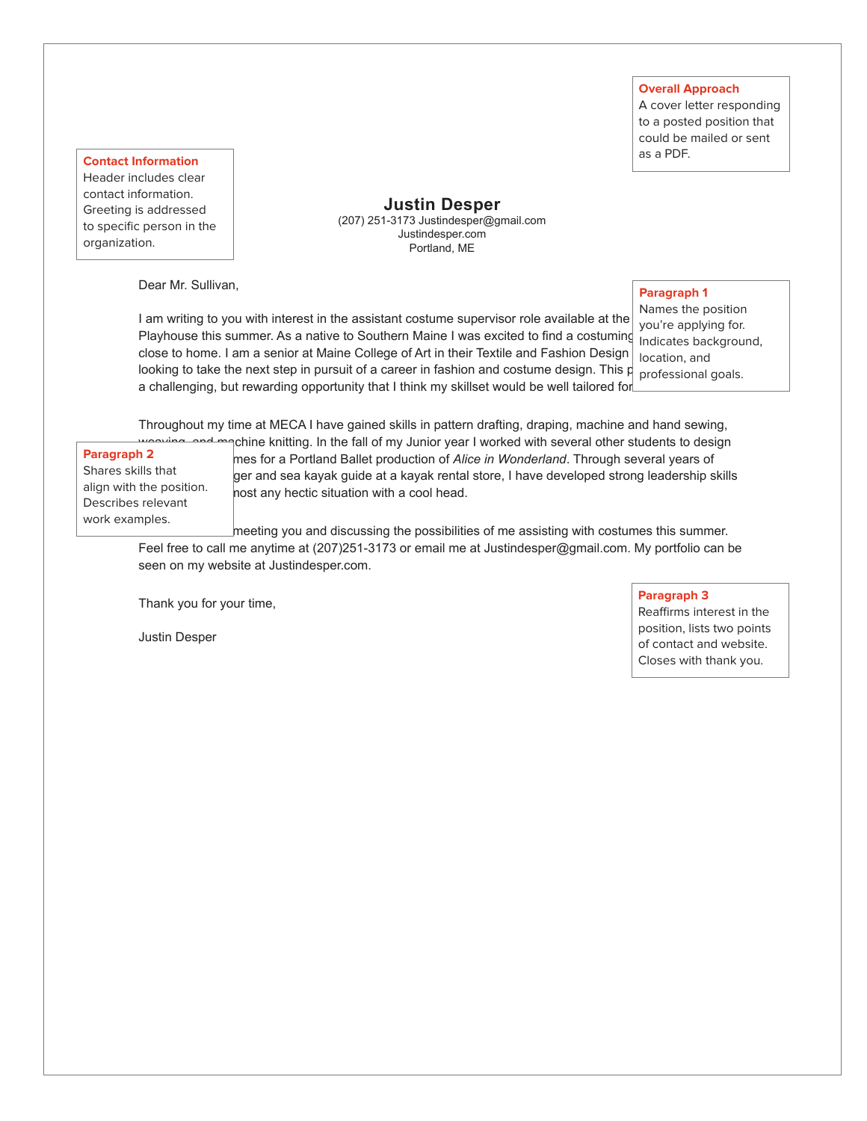## **Overall Approach**

A cover letter responding to a posted position that could be mailed or sent as a PDF.

**Contact Information** Header includes clear contact information. Greeting is addressed to specific person in the organization.

**Justin Desper** (207) 251-3173 Justindesper@gmail.com Justindesper.com Portland, ME

Dear Mr. Sullivan,

## **Paragraph 1**

I am writing to you with interest in the assistant costume supervisor role available at the Playhouse this summer. As a native to Southern Maine I was excited to find a costuming Indicates background, close to home. I am a senior at Maine College of Art in their Textile and Fashion Design looking to take the next step in pursuit of a career in fashion and costume design. This p $_{\rm{p}$  professional goals. a challenging, but rewarding opportunity that I think my skillset would be well tailored for.

Names the position you're applying for. location, and

Throughout my time at MECA I have gained skills in pattern drafting, draping, machine and hand sewing,

**Paragraph 2** Shares skills that align with the position. Describes relevant work examples.

pchine knitting. In the fall of my Junior year I worked with several other students to design mes for a Portland Ballet production of *Alice in Wonderland*. Through several years of ger and sea kayak guide at a kayak rental store, I have developed strong leadership skills host any hectic situation with a cool head.

meeting you and discussing the possibilities of me assisting with costumes this summer. Feel free to call me anytime at (207)251-3173 or email me at Justindesper@gmail.com. My portfolio can be seen on my website at Justindesper.com.

Thank you for your time,

Justin Desper

## **Paragraph 3**

Reaffirms interest in the position, lists two points of contact and website. Closes with thank you.